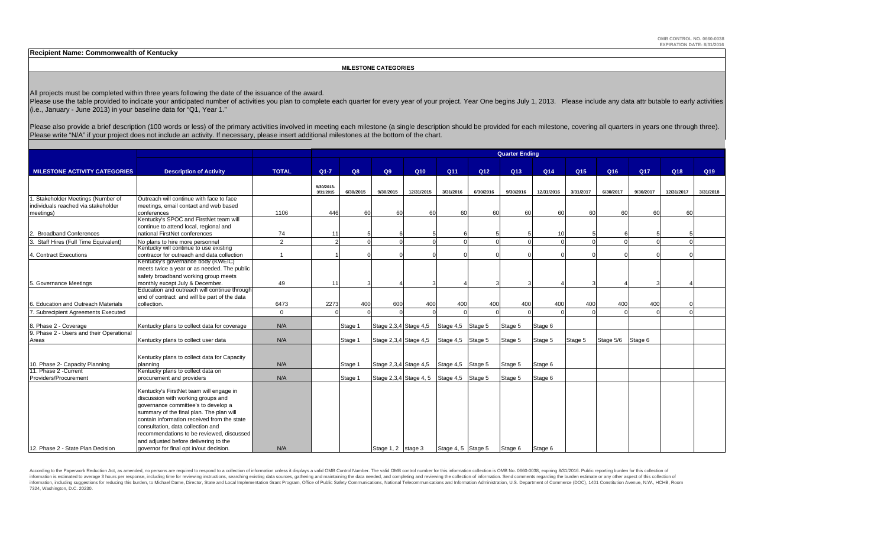**Recipient Name: Commonwealth of Kentucky**

 **MILESTONE CATEGORIES**

All projects must be completed within three years following the date of the issuance of the award.

Please use the table provided to indicate your anticipated number of activities you plan to complete each quarter for every year of your project. Year One begins July 1, 2013. Please include any data attr butable to early (i.e., January - June 2013) in your baseline data for "Q1, Year 1."

Please also provide a brief description (100 words or less) of the primary activities involved in meeting each milestone (a single description should be provided for each milestone, covering all quarters in years one throu Please write "N/A" if your project does not include an activity. If necessary, please insert additional milestones at the bottom of the chart.

|                                          |                                              |                | <b>Quarter Ending</b>   |           |                       |                                          |                    |                 |           |            |                 |           |           |            |           |
|------------------------------------------|----------------------------------------------|----------------|-------------------------|-----------|-----------------------|------------------------------------------|--------------------|-----------------|-----------|------------|-----------------|-----------|-----------|------------|-----------|
| <b>MILESTONE ACTIVITY CATEGORIES</b>     | <b>Description of Activity</b>               | <b>TOTAL</b>   | $Q1 - 7$                | Q8        | Q9                    | Q10                                      | Q <sub>11</sub>    | Q <sub>12</sub> | Q13       | Q14        | Q <sub>15</sub> | Q16       | Q17       | Q18        | Q19       |
|                                          |                                              |                |                         |           |                       |                                          |                    |                 |           |            |                 |           |           |            |           |
|                                          |                                              |                | 9/30/2013-<br>3/31/2015 | 6/30/2015 | 9/30/2015             | 12/31/2015                               | 3/31/2016          | 6/30/2016       | 9/30/2016 | 12/31/2016 | 3/31/2017       | 6/30/2017 | 9/30/2017 | 12/31/2017 | 3/31/2018 |
| 1. Stakeholder Meetings (Number of       | Outreach will continue with face to face     |                |                         |           |                       |                                          |                    |                 |           |            |                 |           |           |            |           |
| individuals reached via stakeholder      | meetings, email contact and web based        |                |                         |           |                       |                                          |                    |                 |           |            |                 |           |           |            |           |
| meetings)                                | conferences                                  | 1106           | 446                     | 60        | 60                    | 60                                       | 60                 | 60              | 60        | 60         | 60              | 60        | 60        | 60         |           |
|                                          | Kentucky's SPOC and FirstNet team will       |                |                         |           |                       |                                          |                    |                 |           |            |                 |           |           |            |           |
|                                          | continue to attend local, regional and       |                |                         |           |                       |                                          |                    |                 |           |            |                 |           |           |            |           |
| 2. Broadband Conferences                 | national FirstNet conferences                | 74             | 11                      |           |                       |                                          |                    |                 |           | 10         |                 |           |           |            |           |
| Staff Hires (Full Time Equivalent)       | No plans to hire more personnel              | $\overline{2}$ |                         |           | $\Omega$              |                                          | $\Omega$           |                 |           |            |                 |           |           |            |           |
|                                          | Kentucky will continue to use existing       |                |                         |           |                       |                                          |                    |                 |           |            |                 |           |           |            |           |
| 4. Contract Executions                   | contracor for outreach and data collection   | $\overline{1}$ |                         |           |                       |                                          |                    |                 |           |            |                 |           |           |            |           |
|                                          | Kentucky's governance body (KWEIC)           |                |                         |           |                       |                                          |                    |                 |           |            |                 |           |           |            |           |
|                                          | meets twice a year or as needed. The public  |                |                         |           |                       |                                          |                    |                 |           |            |                 |           |           |            |           |
|                                          | safety broadband working group meets         |                |                         |           |                       |                                          |                    |                 |           |            |                 |           |           |            |           |
| 5. Governance Meetings                   | monthly except July & December.              | 49             | 11                      |           |                       |                                          |                    | 3               |           |            |                 |           |           |            |           |
|                                          | Education and outreach will continue through |                |                         |           |                       |                                          |                    |                 |           |            |                 |           |           |            |           |
|                                          | end of contract and will be part of the data |                |                         |           |                       |                                          |                    |                 |           |            |                 |           |           |            |           |
| 6. Education and Outreach Materials      | collection.                                  | 6473           | 2273                    | 400       | 600                   | 400                                      | 400                | 400             | 400       | 400        | 400             | 400       | 400       |            |           |
| 7. Subrecipient Agreements Executed      |                                              | $\Omega$       |                         |           | $\Omega$              | $\Omega$                                 | $\Omega$           |                 |           |            |                 |           |           |            |           |
| 8. Phase 2 - Coverage                    | Kentucky plans to collect data for coverage  | N/A            |                         | Stage 1   | Stage 2,3,4 Stage 4,5 |                                          | Stage 4,5 Stage 5  |                 | Stage 5   | Stage 6    |                 |           |           |            |           |
| 9. Phase 2 - Users and their Operational |                                              |                |                         |           |                       |                                          |                    |                 |           |            |                 |           |           |            |           |
| Areas                                    | Kentucky plans to collect user data          | N/A            |                         | Stage 1   | Stage 2,3,4 Stage 4,5 |                                          | Stage 4,5 Stage 5  |                 | Stage 5   | Stage 5    | Stage 5         | Stage 5/6 | Stage 6   |            |           |
|                                          |                                              |                |                         |           |                       |                                          |                    |                 |           |            |                 |           |           |            |           |
|                                          | Kentucky plans to collect data for Capacity  |                |                         |           |                       |                                          |                    |                 |           |            |                 |           |           |            |           |
| 10. Phase 2- Capacity Planning           | planning                                     | N/A            |                         | Stage 1   | Stage 2,3,4 Stage 4,5 |                                          | Stage 4.5 Stage 5  |                 | Stage 5   | Stage 6    |                 |           |           |            |           |
| 11. Phase 2 - Current                    | Kentucky plans to collect data on            |                |                         |           |                       |                                          |                    |                 |           |            |                 |           |           |            |           |
| Providers/Procurement                    | procurement and providers                    | N/A            |                         | Stage 1   |                       | Stage 2,3,4 Stage 4, 5 Stage 4,5 Stage 5 |                    |                 | Stage 5   | Stage 6    |                 |           |           |            |           |
|                                          |                                              |                |                         |           |                       |                                          |                    |                 |           |            |                 |           |           |            |           |
|                                          | Kentucky's FirstNet team will engage in      |                |                         |           |                       |                                          |                    |                 |           |            |                 |           |           |            |           |
|                                          | discussion with working groups and           |                |                         |           |                       |                                          |                    |                 |           |            |                 |           |           |            |           |
|                                          | governance committee's to develop a          |                |                         |           |                       |                                          |                    |                 |           |            |                 |           |           |            |           |
|                                          | summary of the final plan. The plan will     |                |                         |           |                       |                                          |                    |                 |           |            |                 |           |           |            |           |
|                                          | contain information received from the state  |                |                         |           |                       |                                          |                    |                 |           |            |                 |           |           |            |           |
|                                          | consultation, data collection and            |                |                         |           |                       |                                          |                    |                 |           |            |                 |           |           |            |           |
|                                          | recommendations to be reviewed, discussed    |                |                         |           |                       |                                          |                    |                 |           |            |                 |           |           |            |           |
|                                          | and adjusted before delivering to the        |                |                         |           |                       |                                          |                    |                 |           |            |                 |           |           |            |           |
| 12. Phase 2 - State Plan Decision        | governor for final opt in/out decision.      | N/A            |                         |           | Stage 1, 2 stage 3    |                                          | Stage 4, 5 Stage 5 |                 | Stage 6   | Stage 6    |                 |           |           |            |           |

According to the Paperwork Reduction Act, as amended, no persons are required to respond to a collection of information unless it displays a valid OMB Control Number. The valid OMB control number for this information colle information is estimated to average 3 hours per response, including time for reviewing instructions, searching existing data sources, gathering and maintaining the data needed, and completing and reviewing the collection o information, including suggestions for reducing this burden, to Michael Dame, Director, State and Local Implementation Grant Program, Office of Public Safety Communications, National Telecommunications and Information Admi 7324, Washington, D.C. 20230.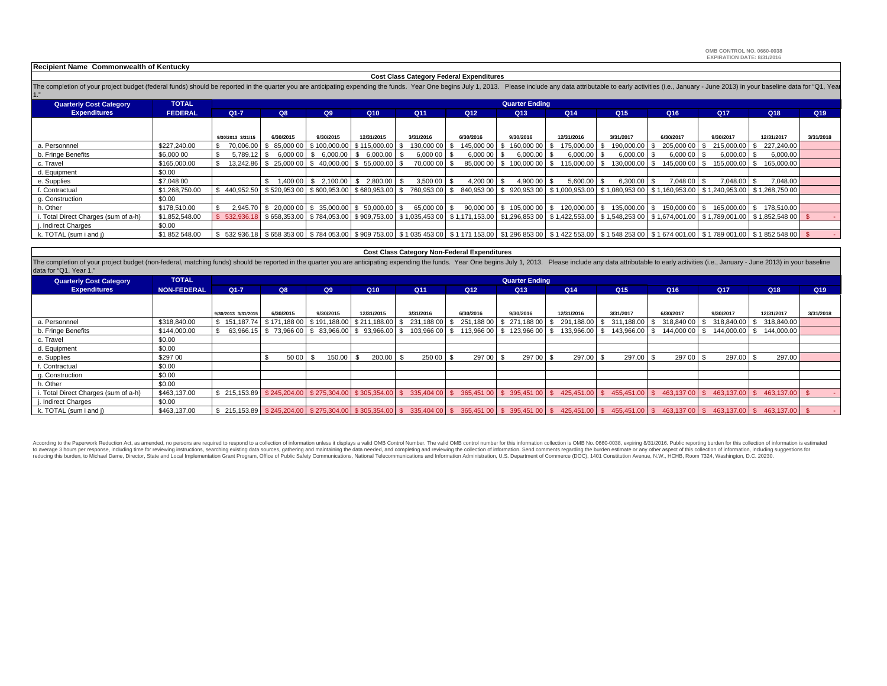**OMB CONTROL NO. 0660-0038EXPIRATION DATE: 8/31/2016**

#### **Recipient Name Commonwealth of Kentucky**

#### **Cost Class Category Federal Expenditures**

**TOTAL**FEDERAL FEDERAL Q1-7 Q8 Q9 Q10 Q11 Q12 Q13 Q14 Q15 Q16 Q17 Q17 Q18 Q19  $\sqrt{219}$ The completion of your project budget (federal funds) should be reported in the quarter you are anticipating expending the funds. Year One begins July 1, 2013. Please include any data attributable to early activities (i.e. 1."**Quarterly Cost Category Expenditures Quarter Ending**

|                                      |                | 9/30/2013 3/31/15                                          | 6/30/2015                                                  | 9/30/2015                               | 12/31/2015  | 3/31/2016       | 6/30/2016  | 9/30/2016          | 12/31/2016    | 3/31/2017     | 6/30/2017       | 9/30/2017     | 12/31/2017                                                                                                                                                                    | 3/31/2018 |
|--------------------------------------|----------------|------------------------------------------------------------|------------------------------------------------------------|-----------------------------------------|-------------|-----------------|------------|--------------------|---------------|---------------|-----------------|---------------|-------------------------------------------------------------------------------------------------------------------------------------------------------------------------------|-----------|
| a. Personnnel                        | \$227,240.00   | 70,006,00 \$                                               |                                                            | 85,000 00   \$100,000.00   \$115,000.00 |             | 130,000 00   \$ | 145,000 00 | 160,000 00<br>- \$ | 175,000.00    | 190,000.00    | 205,000 00 \$   | 215,000,00 \$ | 227.240.00                                                                                                                                                                    |           |
| b. Fringe Benefits                   | \$6,000 00     | 5.789.12 \$                                                | 6.000 00 \$                                                | 6.000.00                                | \$ 6,000,00 | 6.000 00 \$     | 6.000 00   | 6.000.00           | 6.000.00      | 6,000.00      | 6.000 00        | $6,000.00$ \$ | 6,000.00                                                                                                                                                                      |           |
| c. Travel                            | \$165,000.00   |                                                            | 13,242.86   \$25,000 00   \$40,000.00   \$55,000.00   \$   |                                         |             | 70,000 00 \$    | 85,000 00  | -\$<br>100,000 00  | 115.000.00 \$ | 130,000.00    | 145,000 00 \$   | 155,000,00 \$ | 165,000.00                                                                                                                                                                    |           |
| d. Equipment                         | \$0.00         |                                                            |                                                            |                                         |             |                 |            |                    |               |               |                 |               |                                                                                                                                                                               |           |
| e. Supplies                          | \$7,048 00     |                                                            |                                                            | $1,40000$ $\mid$ \$ 2,100.00            | \$2,800.00  | 3,500 00 \$     | 4,200 00   | 4,900 00           | 5,600.00      | 6,300.00      | 7.048 00   \$   | 7.048.00 \$   | 7,048.00                                                                                                                                                                      |           |
| f. Contractual                       | \$1,268,750.00 | $$440,952.50$ $$520,95300$ $$600,953.00$ $$680,953.00$ $$$ |                                                            |                                         |             |                 |            |                    |               |               |                 |               | 760,953 00 \$ 840,953 00 \$ 920,953 00 \$ 1,000,953 00 \$ 1,080,953 00 \$ 1,160,953 00 \$ 1,240,953 00 \$ 1,268,750 00                                                        |           |
| g. Construction                      | \$0.00         |                                                            |                                                            |                                         |             |                 |            |                    |               |               |                 |               |                                                                                                                                                                               |           |
| h. Other                             | \$178,510.00   |                                                            | 2.945.70   \$ 20.000 00   \$ 35.000.00   \$ 50.000.00   \$ |                                         |             | 65,000 00 \$    | 90,000 00  | \$105,000 00   \$  | 120,000,00 \$ | 135,000.00 \$ | 150,000 00   \$ |               | 165.000.00   \$ 178.510.00                                                                                                                                                    |           |
| i. Total Direct Charges (sum of a-h) | \$1.852,548.00 |                                                            |                                                            |                                         |             |                 |            |                    |               |               |                 |               | \$52,936.18 \$658,353.00 \$784,053.00 \$909,753.00 \$1.035,453 00 \$1.171,153.00 \$1.296,853 00 \$1.422,553.00 \$1.548,253 00 \$1.674,001.00 \$1.789,001.00 \$1.852,548 00 \$ |           |
| j. Indirect Charges                  | \$0.00         |                                                            |                                                            |                                         |             |                 |            |                    |               |               |                 |               |                                                                                                                                                                               |           |
| k. TOTAL (sum i and j)               | \$1 852 548.00 |                                                            |                                                            |                                         |             |                 |            |                    |               |               |                 |               | \$532936.18 \$65835300 \$784053.00 \$909753.00 \$103545300 \$1171153.00 \$129685300 \$1422553.00 \$154825300 \$1674001.00 \$1789001.00 \$1785254800 \$                        |           |

#### **Cost Class Category Non-Federal Expenditures**

The completion of your project budget (non-federal, matching funds) should be reported in the quarter you are anticipating expending the funds. Year One begins July 1, 2013. Please include any data attributable to early ac data for "Q1, Year 1."

| <b>Quarterly Cost Category</b>       | <b>TOTAL</b>       |                                                        | <b>Quarter Ending</b> |                |            |                 |                                           |                 |                 |                                 |                 |                                                                                                                                                                                                                                                     |                 |           |
|--------------------------------------|--------------------|--------------------------------------------------------|-----------------------|----------------|------------|-----------------|-------------------------------------------|-----------------|-----------------|---------------------------------|-----------------|-----------------------------------------------------------------------------------------------------------------------------------------------------------------------------------------------------------------------------------------------------|-----------------|-----------|
| <b>Expenditures</b>                  | <b>NON-FEDERAL</b> | $Q1 - 7$                                               | Q8                    | Q <sub>9</sub> | Q10        | Q <sub>11</sub> | Q <sub>12</sub>                           | Q <sub>13</sub> | Q <sub>14</sub> | Q <sub>15</sub>                 | Q <sub>16</sub> | <b>Q17</b>                                                                                                                                                                                                                                          | Q <sub>18</sub> | Q19       |
|                                      |                    |                                                        |                       |                |            |                 |                                           |                 |                 |                                 |                 |                                                                                                                                                                                                                                                     |                 |           |
|                                      |                    | 9/30/2013 3/31/2015                                    | 6/30/2015             | 9/30/2015      | 12/31/2015 | 3/31/2016       | 6/30/2016                                 | 9/30/2016       | 12/31/2016      | 3/31/2017                       | 6/30/2017       | 9/30/2017                                                                                                                                                                                                                                           | 12/31/2017      | 3/31/2018 |
| a. Personnnel                        | \$318,840,00       | \$151,187.74 \$171,188 00 \$191,188.00 \$211,188.00 \$ |                       |                |            |                 | 231,188 00 \$ 251,188 00 \$ 271,188 00 \$ |                 |                 | 291,188.00   \$ 311,188.00   \$ |                 | 318,840 00   \$ 318,840.00   \$ 318,840.00                                                                                                                                                                                                          |                 |           |
| b. Fringe Benefits                   | \$144,000,00       |                                                        |                       |                |            |                 |                                           |                 |                 |                                 |                 | 63,966.15 \$73,966.00 \$83,966.00 \$93,966.00 \$103,966.00 \$113,966.00 \$123,966.00 \$133,966.00 \$143,966.00 \$144,000 00 \$144,000.00 \$144,000.00 \$144,000.00 \$144,000.00 \$144,000 \$104,000 \$104,000 \$104,000 \$104,000 \$104,000 \$104,0 |                 |           |
| c. Travel                            | \$0.00             |                                                        |                       |                |            |                 |                                           |                 |                 |                                 |                 |                                                                                                                                                                                                                                                     |                 |           |
| d. Equipment                         | \$0.00             |                                                        |                       |                |            |                 |                                           |                 |                 |                                 |                 |                                                                                                                                                                                                                                                     |                 |           |
| e. Supplies                          | \$297 00           |                                                        | 50 00                 | 150.00         | 200.00     | 250 00 \$       | 297 00 \$                                 | 297 00          | 297.00          | 297.00 \$                       | 297 00 \$       | 297.00 \$                                                                                                                                                                                                                                           | 297.00          |           |
| f. Contractual                       | \$0.00             |                                                        |                       |                |            |                 |                                           |                 |                 |                                 |                 |                                                                                                                                                                                                                                                     |                 |           |
| g. Construction                      | \$0.00             |                                                        |                       |                |            |                 |                                           |                 |                 |                                 |                 |                                                                                                                                                                                                                                                     |                 |           |
| h. Other                             | \$0.00             |                                                        |                       |                |            |                 |                                           |                 |                 |                                 |                 |                                                                                                                                                                                                                                                     |                 |           |
| i. Total Direct Charges (sum of a-h) | \$463,137.00       |                                                        |                       |                |            |                 |                                           |                 |                 |                                 |                 | \$215,153.89 \$245,204.00 \$275,304.00 \$305,354.00 \$335,404 00 \$365,451 00 \$395,451 00 \$425,451.00 \$455,451.00 \$453,431.00 \$463,137.00 \$463,137.00 \$463,137.00 \$463,137.00 \$463,137.00 \$463,137.00 \$463,137.00 \$475,451.00 \$100 \$1 |                 |           |
| j. Indirect Charges                  | \$0.00             |                                                        |                       |                |            |                 |                                           |                 |                 |                                 |                 |                                                                                                                                                                                                                                                     |                 |           |
| k. TOTAL (sum i and j)               | \$463,137,00       |                                                        |                       |                |            |                 |                                           |                 |                 |                                 |                 | \$ 215,153.89 \$ 245,204.00 \$ 275,304.00 \$ 305,354.00 \$ 335,404 00 \$ 365,451 00 \$ 395,451 00 \$ 425,451.00 \$ 455,451.00 \$ 453,137.00 \$ 463,137.00 \$ 463,137.00 \$ 463,137.00 \$ 463,137.00 \$ 463,137.00 \$ 463,137.00 \$ 463,137.00 \$    |                 |           |

According to the Paperwork Reduction Act, as amended, no persons are required to respond to a collection of information unless it displays a valid OMB Control Number. The valid OMB control number for this information colle to average 3 hours per response, including time for reviewing instructions, searching existing data sources, gathering and maintaining the data needed, and completing and reviewing the collections and Information of Decisi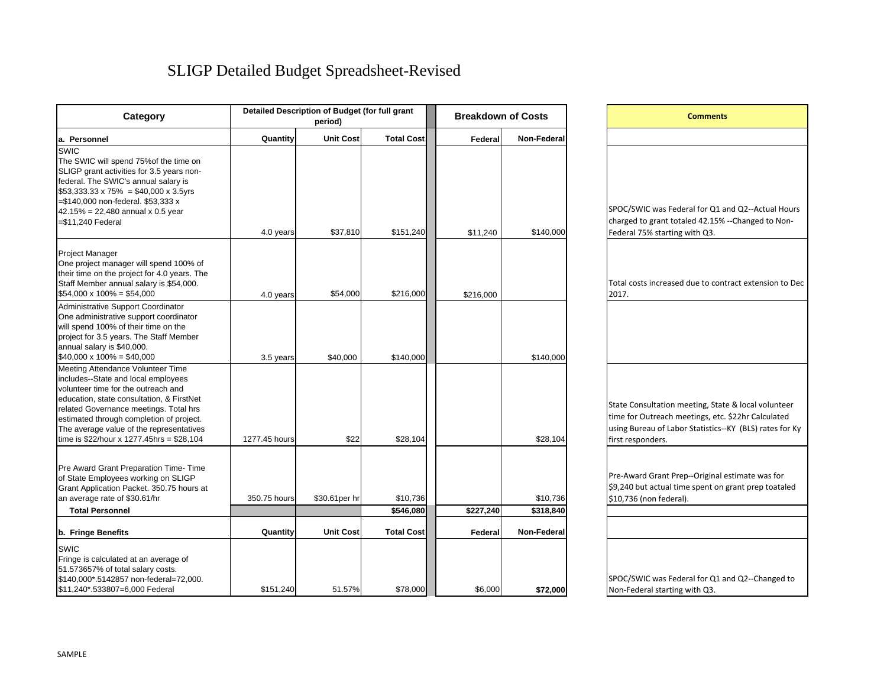# SLIGP Detailed Budget Spreadsheet-Revised

| Category                                                                                                                                                                                                                                                                                                                                    |               | Detailed Description of Budget (for full grant<br>period) |                       | <b>Breakdown of Costs</b> |                       |  |  |
|---------------------------------------------------------------------------------------------------------------------------------------------------------------------------------------------------------------------------------------------------------------------------------------------------------------------------------------------|---------------|-----------------------------------------------------------|-----------------------|---------------------------|-----------------------|--|--|
| a. Personnel                                                                                                                                                                                                                                                                                                                                | Quantity      | <b>Unit Cost</b>                                          | <b>Total Cost</b>     | Federal                   | Non-Federal           |  |  |
| SWIC<br>The SWIC will spend 75% of the time on<br>SLIGP grant activities for 3.5 years non-<br>federal. The SWIC's annual salary is<br>$$53,333.33 \times 75\% = $40,000 \times 3.5$ yrs<br>=\$140,000 non-federal. \$53,333 x<br>$42.15\% = 22,480$ annual x 0.5 year<br>=\$11,240 Federal                                                 | 4.0 years     | \$37,810                                                  | \$151,240             | \$11,240                  | \$140,000             |  |  |
| <b>Project Manager</b><br>One project manager will spend 100% of<br>their time on the project for 4.0 years. The<br>Staff Member annual salary is \$54,000.<br>$$54,000 \times 100\% = $54,000$                                                                                                                                             | 4.0 years     | \$54,000                                                  | \$216,000             | \$216,000                 |                       |  |  |
| Administrative Support Coordinator<br>One administrative support coordinator<br>will spend 100% of their time on the<br>project for 3.5 years. The Staff Member<br>annual salary is \$40,000.<br>$$40,000 \times 100\% = $40,000$                                                                                                           | 3.5 years     | \$40,000                                                  | \$140,000             |                           | \$140,000             |  |  |
| Meeting Attendance Volunteer Time<br>includes--State and local employees<br>volunteer time for the outreach and<br>education, state consultation, & FirstNet<br>related Governance meetings. Total hrs<br>estimated through completion of project.<br>The average value of the representatives<br>time is \$22/hour x 1277.45hrs = \$28,104 | 1277.45 hours | \$22                                                      | \$28,104              |                           | \$28,104              |  |  |
| Pre Award Grant Preparation Time- Time<br>of State Employees working on SLIGP<br>Grant Application Packet. 350.75 hours at<br>an average rate of \$30.61/hr<br><b>Total Personnel</b>                                                                                                                                                       | 350.75 hours  | \$30.61per hr                                             | \$10,736<br>\$546,080 | \$227,240                 | \$10,736<br>\$318,840 |  |  |
| b. Fringe Benefits                                                                                                                                                                                                                                                                                                                          | Quantity      | <b>Unit Cost</b>                                          | <b>Total Cost</b>     | Federal                   | Non-Federal           |  |  |
| SWIC<br>Fringe is calculated at an average of<br>51.573657% of total salary costs.<br>\$140,000*.5142857 non-federal=72,000.<br>\$11,240*.533807=6,000 Federal                                                                                                                                                                              | \$151,240     | 51.57%                                                    | \$78,000              | \$6,000                   | \$72,000              |  |  |

| <b>Comments</b>                                                              |  |
|------------------------------------------------------------------------------|--|
|                                                                              |  |
|                                                                              |  |
|                                                                              |  |
|                                                                              |  |
| SPOC/SWIC was Federal for Q1 and Q2--Actual Hours                            |  |
| charged to grant totaled 42.15% --Changed to Non-                            |  |
| Federal 75% starting with Q3.                                                |  |
|                                                                              |  |
|                                                                              |  |
| Total costs increased due to contract extension to Dec                       |  |
| 2017.                                                                        |  |
|                                                                              |  |
|                                                                              |  |
|                                                                              |  |
|                                                                              |  |
|                                                                              |  |
|                                                                              |  |
| State Consultation meeting, State & local volunteer                          |  |
| time for Outreach meetings, etc. \$22hr Calculated                           |  |
| using Bureau of Labor Statistics--KY (BLS) rates for Ky<br>first responders. |  |
|                                                                              |  |
| Pre-Award Grant Prep--Original estimate was for                              |  |
| \$9,240 but actual time spent on grant prep toataled                         |  |
| \$10,736 (non federal).                                                      |  |
|                                                                              |  |
|                                                                              |  |
|                                                                              |  |
|                                                                              |  |
| SPOC/SWIC was Federal for Q1 and Q2--Changed to                              |  |
|                                                                              |  |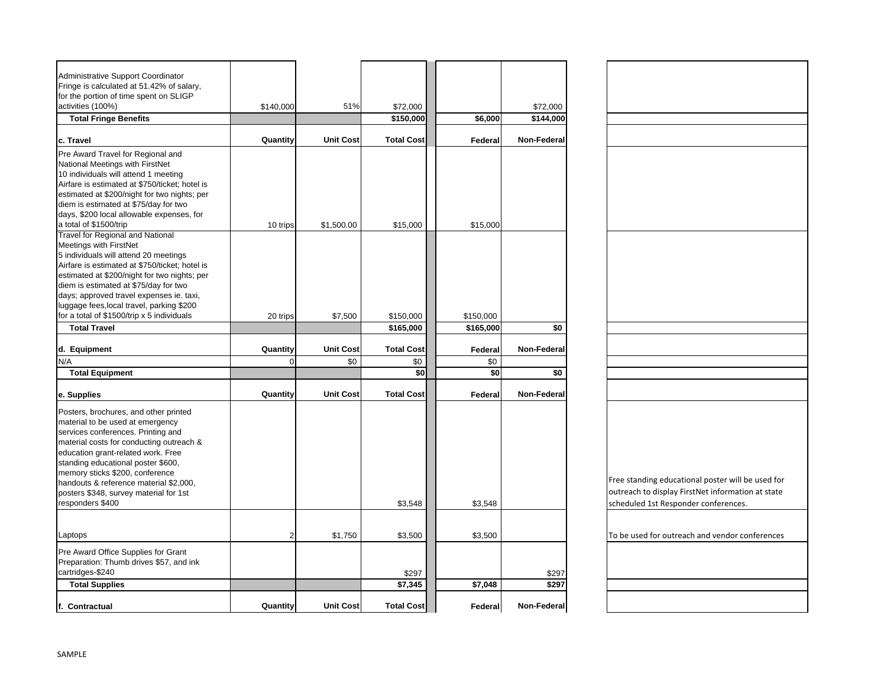| Administrative Support Coordinator                                                  |                |                  |                   |                |             |                                                   |
|-------------------------------------------------------------------------------------|----------------|------------------|-------------------|----------------|-------------|---------------------------------------------------|
| Fringe is calculated at 51.42% of salary,<br>for the portion of time spent on SLIGP |                |                  |                   |                |             |                                                   |
| activities (100%)                                                                   | \$140,000      | 51%              | \$72,000          |                | \$72,000    |                                                   |
| <b>Total Fringe Benefits</b>                                                        |                |                  | \$150,000         | \$6,000        | \$144,000   |                                                   |
|                                                                                     |                |                  |                   |                |             |                                                   |
| c. Travel                                                                           | Quantity       | <b>Unit Cost</b> | <b>Total Cost</b> | Federal        | Non-Federal |                                                   |
| Pre Award Travel for Regional and                                                   |                |                  |                   |                |             |                                                   |
| National Meetings with FirstNet                                                     |                |                  |                   |                |             |                                                   |
| 10 individuals will attend 1 meeting                                                |                |                  |                   |                |             |                                                   |
| Airfare is estimated at \$750/ticket; hotel is                                      |                |                  |                   |                |             |                                                   |
| estimated at \$200/night for two nights; per                                        |                |                  |                   |                |             |                                                   |
| diem is estimated at \$75/day for two<br>days, \$200 local allowable expenses, for  |                |                  |                   |                |             |                                                   |
| a total of \$1500/trip                                                              |                | \$1,500.00       | \$15,000          | \$15,000       |             |                                                   |
| <b>Travel for Regional and National</b>                                             | 10 trips       |                  |                   |                |             |                                                   |
| Meetings with FirstNet                                                              |                |                  |                   |                |             |                                                   |
| 5 individuals will attend 20 meetings                                               |                |                  |                   |                |             |                                                   |
| Airfare is estimated at \$750/ticket; hotel is                                      |                |                  |                   |                |             |                                                   |
| estimated at \$200/night for two nights; per                                        |                |                  |                   |                |             |                                                   |
| diem is estimated at \$75/day for two                                               |                |                  |                   |                |             |                                                   |
| days; approved travel expenses ie. taxi,                                            |                |                  |                   |                |             |                                                   |
| luggage fees, local travel, parking \$200                                           |                |                  |                   |                |             |                                                   |
| for a total of \$1500/trip x 5 individuals                                          | 20 trips       | \$7,500          | \$150,000         | \$150,000      |             |                                                   |
| <b>Total Travel</b>                                                                 |                |                  | \$165,000         | \$165,000      | \$0         |                                                   |
| d. Equipment                                                                        | Quantity       | <b>Unit Cost</b> | <b>Total Cost</b> |                | Non-Federal |                                                   |
| N/A                                                                                 | $\Omega$       | \$0              | \$0               | Federal<br>\$0 |             |                                                   |
| <b>Total Equipment</b>                                                              |                |                  | \$0               | \$0            | \$0         |                                                   |
|                                                                                     |                |                  |                   |                |             |                                                   |
| e. Supplies                                                                         | Quantity       | <b>Unit Cost</b> | <b>Total Cost</b> | Federal        | Non-Federal |                                                   |
| Posters, brochures, and other printed                                               |                |                  |                   |                |             |                                                   |
| material to be used at emergency                                                    |                |                  |                   |                |             |                                                   |
| services conferences. Printing and                                                  |                |                  |                   |                |             |                                                   |
| material costs for conducting outreach &                                            |                |                  |                   |                |             |                                                   |
| education grant-related work. Free                                                  |                |                  |                   |                |             |                                                   |
| standing educational poster \$600,                                                  |                |                  |                   |                |             |                                                   |
| memory sticks \$200, conference                                                     |                |                  |                   |                |             |                                                   |
| handouts & reference material \$2,000,                                              |                |                  |                   |                |             | Free standing educational poster will be used for |
| posters \$348, survey material for 1st                                              |                |                  |                   |                |             | outreach to display FirstNet information at state |
| responders \$400                                                                    |                |                  | \$3,548           | \$3,548        |             | scheduled 1st Responder conferences.              |
|                                                                                     |                |                  |                   |                |             |                                                   |
| Laptops                                                                             | $\overline{2}$ | \$1,750          | \$3,500           | \$3,500        |             | To be used for outreach and vendor conferences    |
| Pre Award Office Supplies for Grant                                                 |                |                  |                   |                |             |                                                   |
| Preparation: Thumb drives \$57, and ink                                             |                |                  |                   |                |             |                                                   |
| cartridges-\$240                                                                    |                |                  | \$297             |                | \$297       |                                                   |
| <b>Total Supplies</b>                                                               |                |                  | \$7,345           | \$7,048        | \$297       |                                                   |
|                                                                                     |                |                  |                   |                |             |                                                   |
| f. Contractual                                                                      | Quantity       | <b>Unit Cost</b> | <b>Total Cost</b> | Federal        | Non-Federal |                                                   |

| Free standing educational poster will be used for |
|---------------------------------------------------|
| outreach to display FirstNet information at state |
|                                                   |
| scheduled 1st Responder conferences.              |
|                                                   |
|                                                   |
|                                                   |
| To be used for outreach and vendor conferences    |
|                                                   |
|                                                   |
|                                                   |
|                                                   |
|                                                   |
|                                                   |
|                                                   |
|                                                   |
|                                                   |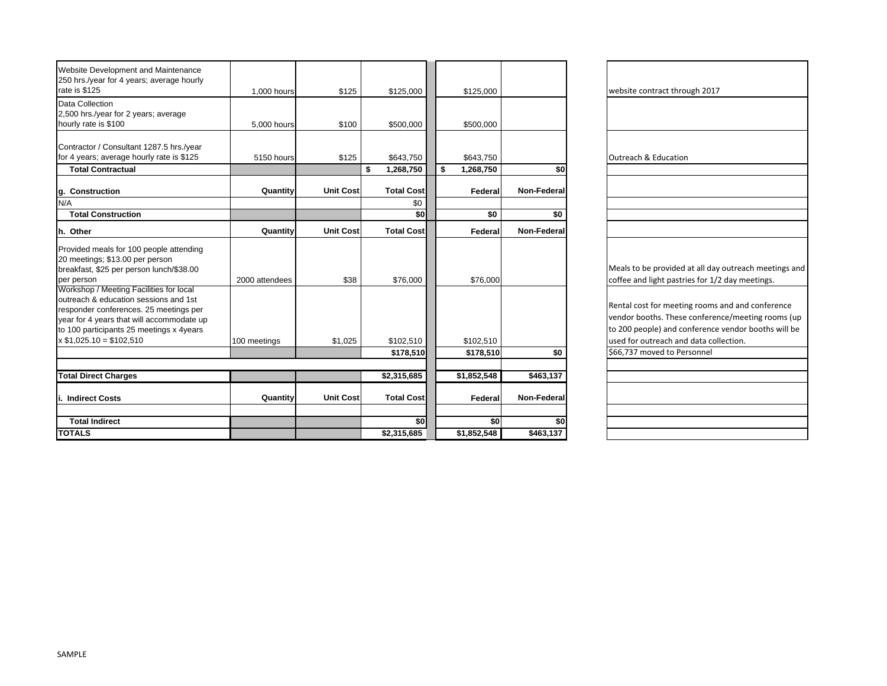| Website Development and Maintenance<br>250 hrs./year for 4 years; average hourly<br>rate is \$125                                                                                                                                               |                            |                  |    |                        |                              |             |                                                                                                                                   |
|-------------------------------------------------------------------------------------------------------------------------------------------------------------------------------------------------------------------------------------------------|----------------------------|------------------|----|------------------------|------------------------------|-------------|-----------------------------------------------------------------------------------------------------------------------------------|
| Data Collection<br>2,500 hrs./year for 2 years; average<br>hourly rate is \$100                                                                                                                                                                 | 1,000 hours<br>5,000 hours | \$125<br>\$100   |    | \$125,000<br>\$500,000 | \$125,000<br>\$500,000       |             | website contract through 2017                                                                                                     |
| Contractor / Consultant 1287.5 hrs./year<br>for 4 years; average hourly rate is \$125<br><b>Total Contractual</b>                                                                                                                               | 5150 hours                 | \$125            | S. | \$643,750<br>1,268,750 | \$643,750<br>\$<br>1,268,750 | \$0         | <b>Outreach &amp; Education</b>                                                                                                   |
|                                                                                                                                                                                                                                                 | Quantity                   | <b>Unit Cost</b> |    | <b>Total Cost</b>      | Federal                      | Non-Federal |                                                                                                                                   |
| g. Construction<br>N/A                                                                                                                                                                                                                          |                            |                  |    | \$0                    |                              |             |                                                                                                                                   |
| <b>Total Construction</b>                                                                                                                                                                                                                       |                            |                  |    | \$0                    | \$0                          | \$0         |                                                                                                                                   |
| h. Other                                                                                                                                                                                                                                        | Quantity                   | <b>Unit Cost</b> |    | <b>Total Cost</b>      | Federal                      | Non-Federal |                                                                                                                                   |
| Provided meals for 100 people attending<br>20 meetings; \$13.00 per person<br>breakfast, \$25 per person lunch/\$38.00<br>per person                                                                                                            | 2000 attendees             | \$38             |    | \$76,000               | \$76.000                     |             | Meals to be provided at all day<br>coffee and light pastries for 1/.                                                              |
| Workshop / Meeting Facilities for local<br>outreach & education sessions and 1st<br>responder conferences. 25 meetings per<br>year for 4 years that will accommodate up<br>to 100 participants 25 meetings x 4years<br>$x $1,025.10 = $102,510$ |                            |                  |    |                        |                              |             | Rental cost for meeting rooms<br>vendor booths. These conferer<br>to 200 people) and conference<br>used for outreach and data col |
|                                                                                                                                                                                                                                                 | 100 meetings               | \$1,025          |    | \$102,510<br>\$178,510 | \$102,510<br>\$178,510       | \$0         | \$66,737 moved to Personnel                                                                                                       |
|                                                                                                                                                                                                                                                 |                            |                  |    |                        |                              |             |                                                                                                                                   |
| <b>Total Direct Charges</b>                                                                                                                                                                                                                     |                            |                  |    | \$2,315,685            | \$1,852,548                  | \$463,137   |                                                                                                                                   |
| i. Indirect Costs                                                                                                                                                                                                                               | Quantity                   | <b>Unit Cost</b> |    | <b>Total Cost</b>      | Federal                      | Non-Federal |                                                                                                                                   |
| <b>Total Indirect</b>                                                                                                                                                                                                                           |                            |                  |    | \$0                    | \$0                          | \$0         |                                                                                                                                   |
| <b>TOTALS</b>                                                                                                                                                                                                                                   |                            |                  |    | \$2,315,685            | \$1,852,548                  | \$463,137   |                                                                                                                                   |

| website contract through 2017                                                                            |  |  |  |  |  |  |  |
|----------------------------------------------------------------------------------------------------------|--|--|--|--|--|--|--|
|                                                                                                          |  |  |  |  |  |  |  |
|                                                                                                          |  |  |  |  |  |  |  |
|                                                                                                          |  |  |  |  |  |  |  |
| <b>Outreach &amp; Education</b>                                                                          |  |  |  |  |  |  |  |
|                                                                                                          |  |  |  |  |  |  |  |
|                                                                                                          |  |  |  |  |  |  |  |
|                                                                                                          |  |  |  |  |  |  |  |
|                                                                                                          |  |  |  |  |  |  |  |
|                                                                                                          |  |  |  |  |  |  |  |
|                                                                                                          |  |  |  |  |  |  |  |
| Meals to be provided at all day outreach meetings and<br>coffee and light pastries for 1/2 day meetings. |  |  |  |  |  |  |  |
|                                                                                                          |  |  |  |  |  |  |  |
| Rental cost for meeting rooms and and conference                                                         |  |  |  |  |  |  |  |
| vendor booths. These conference/meeting rooms (up                                                        |  |  |  |  |  |  |  |
| to 200 people) and conference vendor booths will be                                                      |  |  |  |  |  |  |  |
| used for outreach and data collection.                                                                   |  |  |  |  |  |  |  |
| \$66,737 moved to Personnel                                                                              |  |  |  |  |  |  |  |
|                                                                                                          |  |  |  |  |  |  |  |
|                                                                                                          |  |  |  |  |  |  |  |
|                                                                                                          |  |  |  |  |  |  |  |
|                                                                                                          |  |  |  |  |  |  |  |
|                                                                                                          |  |  |  |  |  |  |  |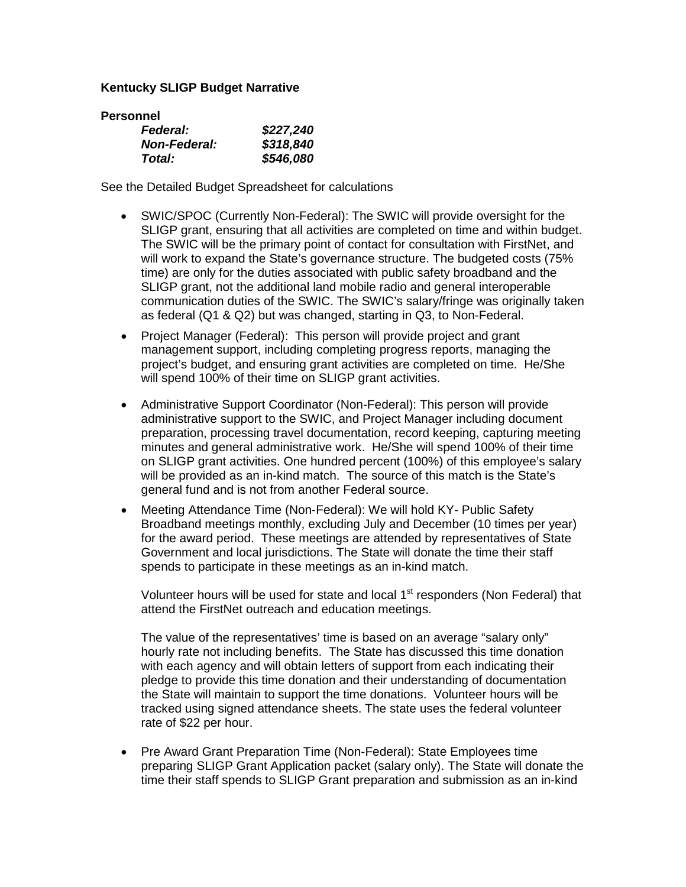### **Kentucky SLIGP Budget Narrative**

| <b>Personnel</b>    |           |
|---------------------|-----------|
| <b>Federal:</b>     | \$227,240 |
| <b>Non-Federal:</b> | \$318,840 |
| Total:              | \$546,080 |

See the Detailed Budget Spreadsheet for calculations

- SWIC/SPOC (Currently Non-Federal): The SWIC will provide oversight for the SLIGP grant, ensuring that all activities are completed on time and within budget. The SWIC will be the primary point of contact for consultation with FirstNet, and will work to expand the State's governance structure. The budgeted costs (75% time) are only for the duties associated with public safety broadband and the SLIGP grant, not the additional land mobile radio and general interoperable communication duties of the SWIC. The SWIC's salary/fringe was originally taken as federal (Q1 & Q2) but was changed, starting in Q3, to Non-Federal.
- Project Manager (Federal): This person will provide project and grant management support, including completing progress reports, managing the project's budget, and ensuring grant activities are completed on time. He/She will spend 100% of their time on SLIGP grant activities.
- Administrative Support Coordinator (Non-Federal): This person will provide administrative support to the SWIC, and Project Manager including document preparation, processing travel documentation, record keeping, capturing meeting minutes and general administrative work. He/She will spend 100% of their time on SLIGP grant activities. One hundred percent (100%) of this employee's salary will be provided as an in-kind match. The source of this match is the State's general fund and is not from another Federal source.
- Meeting Attendance Time (Non-Federal): We will hold KY- Public Safety Broadband meetings monthly, excluding July and December (10 times per year) for the award period. These meetings are attended by representatives of State Government and local jurisdictions. The State will donate the time their staff spends to participate in these meetings as an in-kind match.

Volunteer hours will be used for state and local  $1<sup>st</sup>$  responders (Non Federal) that attend the FirstNet outreach and education meetings.

The value of the representatives' time is based on an average "salary only" hourly rate not including benefits. The State has discussed this time donation with each agency and will obtain letters of support from each indicating their pledge to provide this time donation and their understanding of documentation the State will maintain to support the time donations. Volunteer hours will be tracked using signed attendance sheets. The state uses the federal volunteer rate of \$22 per hour.

• Pre Award Grant Preparation Time (Non-Federal): State Employees time preparing SLIGP Grant Application packet (salary only). The State will donate the time their staff spends to SLIGP Grant preparation and submission as an in-kind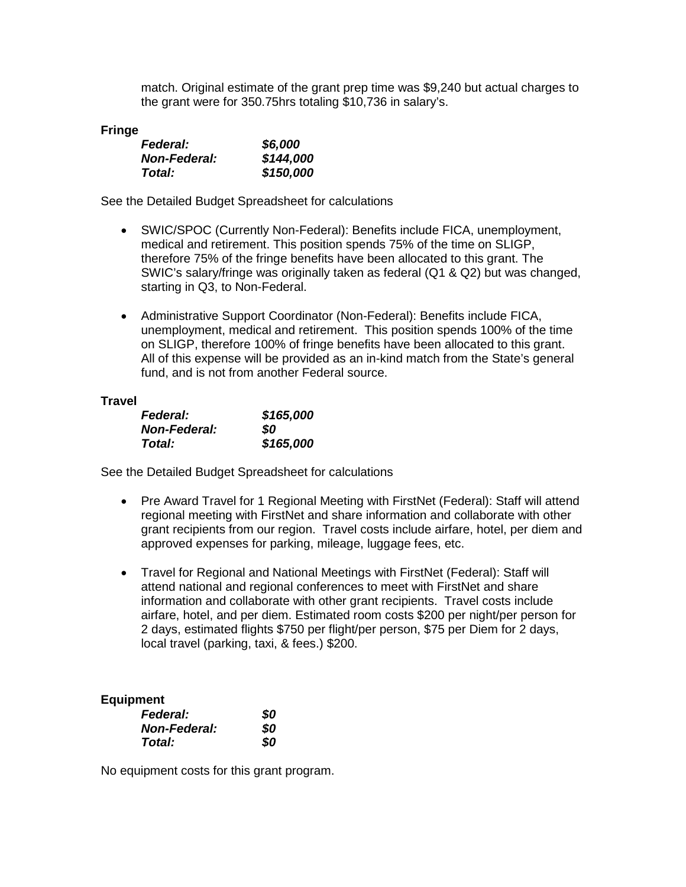match. Original estimate of the grant prep time was \$9,240 but actual charges to the grant were for 350.75hrs totaling \$10,736 in salary's.

#### **Fringe**

| <b>Federal:</b>     | \$6,000   |
|---------------------|-----------|
| <b>Non-Federal:</b> | \$144,000 |
| Total:              | \$150,000 |

See the Detailed Budget Spreadsheet for calculations

- SWIC/SPOC (Currently Non-Federal): Benefits include FICA, unemployment, medical and retirement. This position spends 75% of the time on SLIGP, therefore 75% of the fringe benefits have been allocated to this grant. The SWIC's salary/fringe was originally taken as federal (Q1 & Q2) but was changed, starting in Q3, to Non-Federal.
- Administrative Support Coordinator (Non-Federal): Benefits include FICA, unemployment, medical and retirement. This position spends 100% of the time on SLIGP, therefore 100% of fringe benefits have been allocated to this grant. All of this expense will be provided as an in-kind match from the State's general fund, and is not from another Federal source.

#### **Travel**

| <b>Federal:</b>     | \$165,000 |
|---------------------|-----------|
| <b>Non-Federal:</b> | SO.       |
| Total:              | \$165,000 |

See the Detailed Budget Spreadsheet for calculations

- Pre Award Travel for 1 Regional Meeting with FirstNet (Federal): Staff will attend regional meeting with FirstNet and share information and collaborate with other grant recipients from our region. Travel costs include airfare, hotel, per diem and approved expenses for parking, mileage, luggage fees, etc.
- Travel for Regional and National Meetings with FirstNet (Federal): Staff will attend national and regional conferences to meet with FirstNet and share information and collaborate with other grant recipients. Travel costs include airfare, hotel, and per diem. Estimated room costs \$200 per night/per person for 2 days, estimated flights \$750 per flight/per person, \$75 per Diem for 2 days, local travel (parking, taxi, & fees.) \$200.

#### **Equipment**

| <b>Federal:</b>     | 80 |
|---------------------|----|
| <b>Non-Federal:</b> | 80 |
| Total:              | 80 |

No equipment costs for this grant program.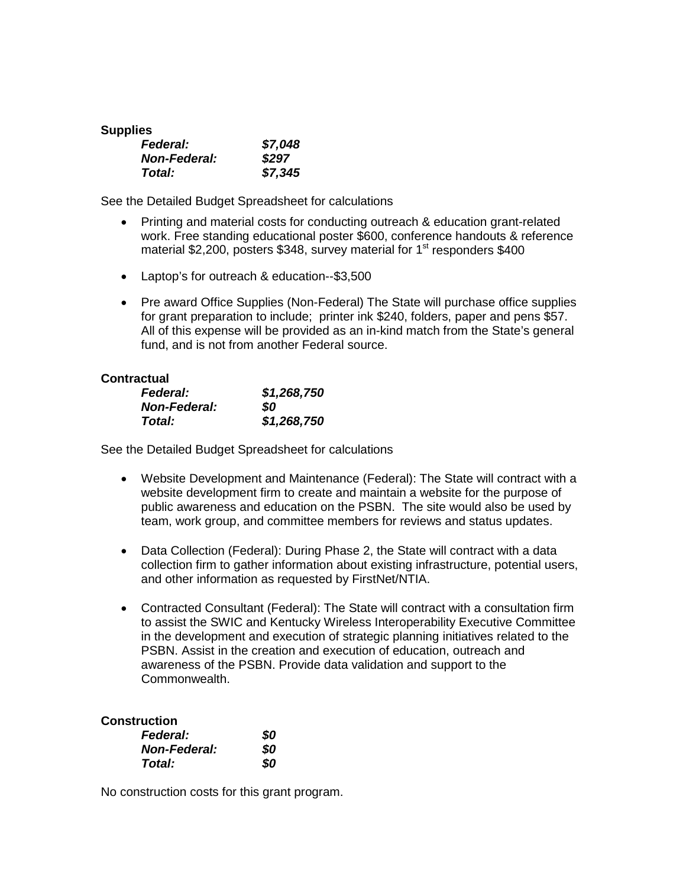| <b>Supplies</b>     |         |
|---------------------|---------|
| Federal:            | \$7,048 |
| <b>Non-Federal:</b> | \$297   |
| Total:              | \$7,345 |

See the Detailed Budget Spreadsheet for calculations

- Printing and material costs for conducting outreach & education grant-related work. Free standing educational poster \$600, conference handouts & reference material \$2,200, posters \$348, survey material for  $1<sup>st</sup>$  responders \$400
- Laptop's for outreach & education--\$3,500
- Pre award Office Supplies (Non-Federal) The State will purchase office supplies for grant preparation to include; printer ink \$240, folders, paper and pens \$57. All of this expense will be provided as an in-kind match from the State's general fund, and is not from another Federal source.

#### **Contractual**

| <b>Federal:</b>     | \$1,268,750 |
|---------------------|-------------|
| <b>Non-Federal:</b> | SO          |
| Total:              | \$1,268,750 |

See the Detailed Budget Spreadsheet for calculations

- Website Development and Maintenance (Federal): The State will contract with a website development firm to create and maintain a website for the purpose of public awareness and education on the PSBN. The site would also be used by team, work group, and committee members for reviews and status updates.
- Data Collection (Federal): During Phase 2, the State will contract with a data collection firm to gather information about existing infrastructure, potential users, and other information as requested by FirstNet/NTIA.
- Contracted Consultant (Federal): The State will contract with a consultation firm to assist the SWIC and Kentucky Wireless Interoperability Executive Committee in the development and execution of strategic planning initiatives related to the PSBN. Assist in the creation and execution of education, outreach and awareness of the PSBN. Provide data validation and support to the Commonwealth.

#### **Construction**

| <b>Federal:</b>     | \$0 |
|---------------------|-----|
| <b>Non-Federal:</b> | 80  |
| Total:              | 80  |

No construction costs for this grant program.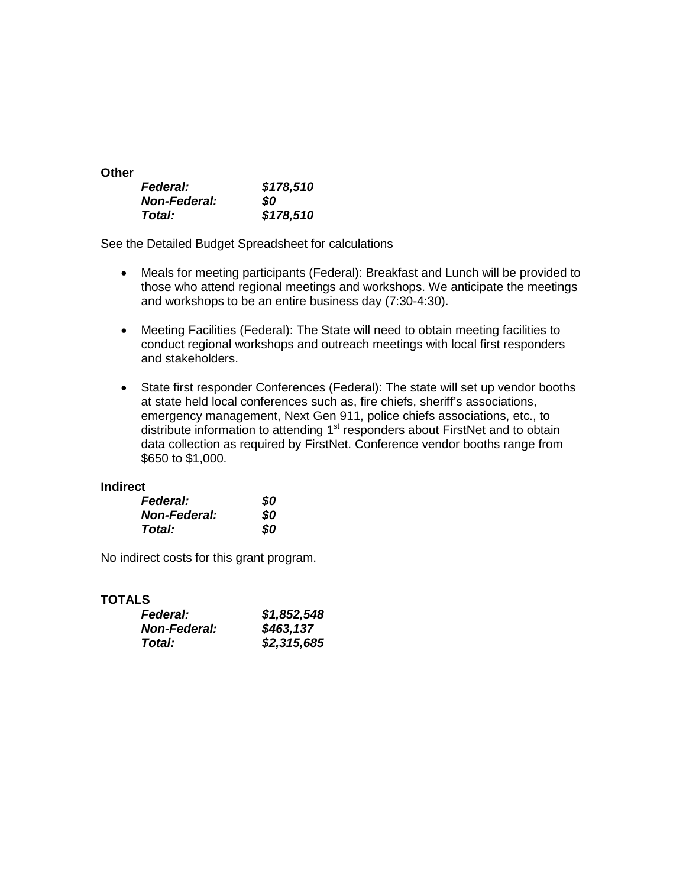| <b>Other</b>        |           |
|---------------------|-----------|
| <b>Federal:</b>     | \$178,510 |
| <b>Non-Federal:</b> | SO.       |
| <b>Total:</b>       | \$178,510 |

See the Detailed Budget Spreadsheet for calculations

- Meals for meeting participants (Federal): Breakfast and Lunch will be provided to those who attend regional meetings and workshops. We anticipate the meetings and workshops to be an entire business day (7:30-4:30).
- Meeting Facilities (Federal): The State will need to obtain meeting facilities to conduct regional workshops and outreach meetings with local first responders and stakeholders.
- State first responder Conferences (Federal): The state will set up vendor booths at state held local conferences such as, fire chiefs, sheriff's associations, emergency management, Next Gen 911, police chiefs associations, etc., to distribute information to attending  $1<sup>st</sup>$  responders about FirstNet and to obtain data collection as required by FirstNet. Conference vendor booths range from \$650 to \$1,000.

#### **Indirect**

| <b>Federal:</b>     | 80  |
|---------------------|-----|
| <b>Non-Federal:</b> | SO. |
| Total:              | SO  |

No indirect costs for this grant program.

### **TOTALS**

| <i><b>Federal:</b></i> | \$1,852,548 |
|------------------------|-------------|
| <b>Non-Federal:</b>    | \$463,137   |
| Total:                 | \$2,315,685 |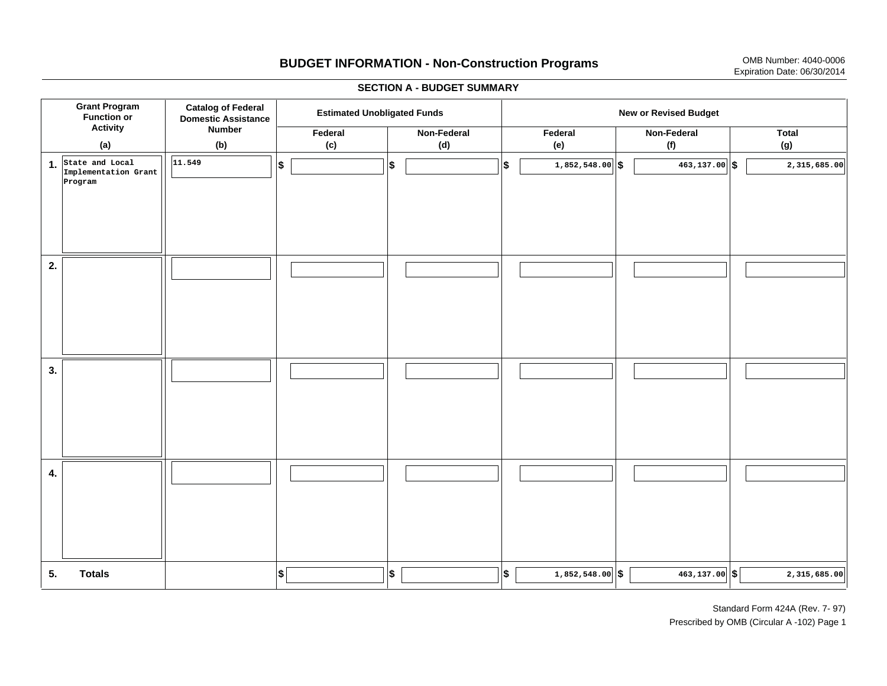# **BUDGET INFORMATION - Non-Construction Programs** OMB Number: 4040-0006 Expiration Date: 06/30/2014

**\$ Grant Program Function or Activity (a) Catalog of Federal Domestic Assistance Number (b) Estimated Unobligated Funds New or Revised Budget Federal(c) Non-Federal(d) Federal(e) Non-Federal (f) Total(g) 5. Totals4. 3. 2. 1.State and Local \$\$\$\$ \$ \$ \$ \$ \$ 1,852,548.00 463,137.00 2,315,685.00 Implementation Grant Program 11.5491,852,548.00 6 463,137.00 6 2,315,685.00 6** 

#### **SECTION A - BUDGET SUMMARY**

Standard Form 424A (Rev. 7- 97) Prescribed by OMB (Circular A -102) Page 1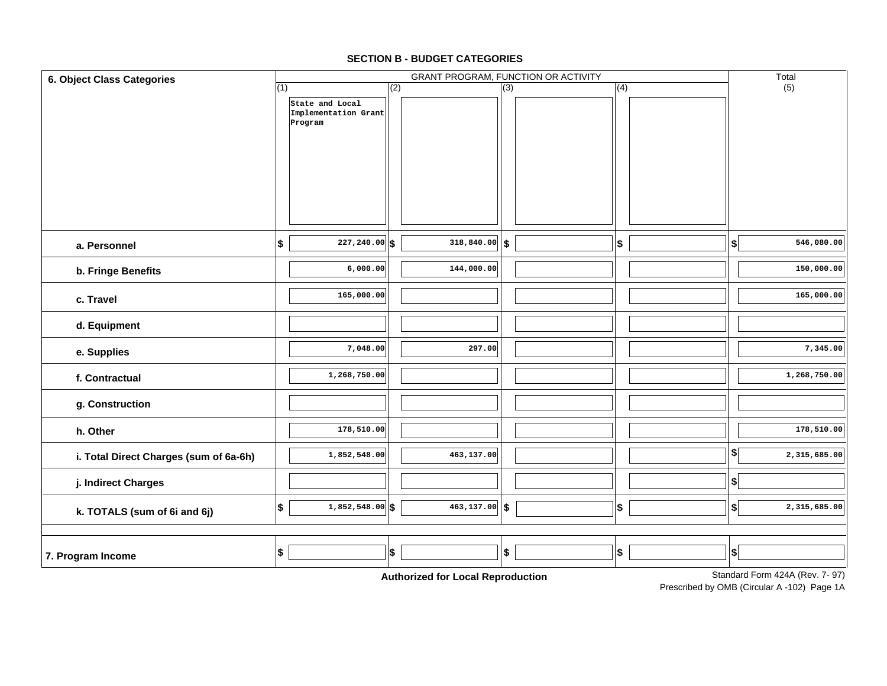| <b>6. Object Class Categories</b>                                 |     |                                         |     |                  | GRANT PROGRAM, FUNCTION OR ACTIVITY |  |     |  |               | Total        |
|-------------------------------------------------------------------|-----|-----------------------------------------|-----|------------------|-------------------------------------|--|-----|--|---------------|--------------|
|                                                                   | (1) |                                         | (2) |                  | (3)                                 |  | (4) |  |               | (5)          |
|                                                                   |     | State and Local<br>Implementation Grant |     |                  |                                     |  |     |  |               |              |
|                                                                   |     | Program                                 |     |                  |                                     |  |     |  |               |              |
|                                                                   |     |                                         |     |                  |                                     |  |     |  |               |              |
|                                                                   |     |                                         |     |                  |                                     |  |     |  |               |              |
|                                                                   |     |                                         |     |                  |                                     |  |     |  |               |              |
|                                                                   |     |                                         |     |                  |                                     |  |     |  |               |              |
|                                                                   |     |                                         |     |                  |                                     |  |     |  |               |              |
| a. Personnel                                                      | \$  | $227, 240.00$ \$                        |     | $318,840.00$ \$  |                                     |  | \$  |  | \$            | 546,080.00   |
| b. Fringe Benefits                                                |     | 6,000.00                                |     | 144,000.00       |                                     |  |     |  |               | 150,000.00   |
| c. Travel                                                         |     | 165,000.00                              |     |                  |                                     |  |     |  |               | 165,000.00   |
|                                                                   |     |                                         |     |                  |                                     |  |     |  |               |              |
| d. Equipment                                                      |     |                                         |     |                  |                                     |  |     |  |               |              |
| e. Supplies                                                       |     | 7,048.00                                |     | 297.00           |                                     |  |     |  |               | 7,345.00     |
| f. Contractual                                                    |     | 1,268,750.00                            |     |                  |                                     |  |     |  |               | 1,268,750.00 |
| g. Construction                                                   |     |                                         |     |                  |                                     |  |     |  |               |              |
| h. Other                                                          |     | 178,510.00                              |     |                  |                                     |  |     |  |               | 178,510.00   |
| i. Total Direct Charges (sum of 6a-6h)                            |     | 1,852,548.00                            |     | 463,137.00       |                                     |  |     |  | $\frac{1}{2}$ | 2,315,685.00 |
| j. Indirect Charges                                               |     |                                         |     |                  |                                     |  |     |  | \$            |              |
| k. TOTALS (sum of 6i and 6j)                                      | \$  | $1,852,548.00$ \$                       |     | $463, 137.00$ \$ |                                     |  | \$  |  | \$            | 2,315,685.00 |
|                                                                   |     |                                         |     |                  |                                     |  |     |  |               |              |
| 7. Program Income                                                 | \$  |                                         | \$  |                  | \$                                  |  | \$  |  | \$            |              |
| Standard Form 424A (Rev. 7-97)<br>Authorization Land Dependuation |     |                                         |     |                  |                                     |  |     |  |               |              |

#### **SECTION B - BUDGET CATEGORIES**

**Authorized for Local Reproduction**

Prescribed by OMB (Circular A -102) Page 1A Standard Form 424A (Rev. 7- 97)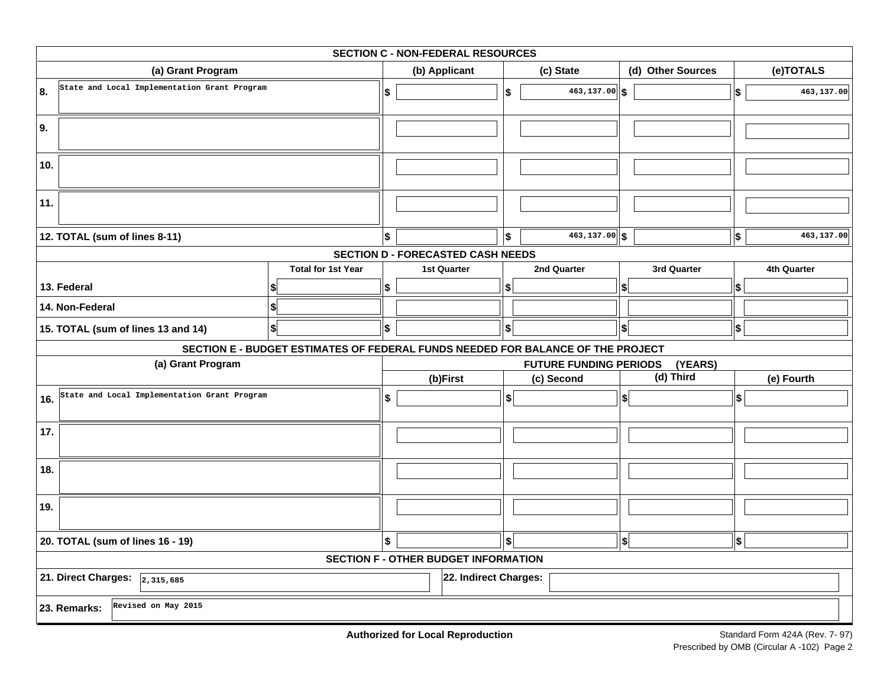| <b>SECTION C - NON-FEDERAL RESOURCES</b>                        |                                              |                                                                                 |               |                                          |                        |                               |                              |             |                  |             |  |
|-----------------------------------------------------------------|----------------------------------------------|---------------------------------------------------------------------------------|---------------|------------------------------------------|------------------------|-------------------------------|------------------------------|-------------|------------------|-------------|--|
| (a) Grant Program                                               |                                              |                                                                                 | (b) Applicant |                                          | (c) State              |                               | (d) Other Sources            |             | (e)TOTALS        |             |  |
| 8.                                                              | State and Local Implementation Grant Program |                                                                                 | \$            |                                          | \$                     | $463, 137.00$ \$              |                              |             | \$               | 463,137.00  |  |
| 9.                                                              |                                              |                                                                                 |               |                                          |                        |                               |                              |             |                  |             |  |
| 10.                                                             |                                              |                                                                                 |               |                                          |                        |                               |                              |             |                  |             |  |
| 11.                                                             |                                              |                                                                                 |               |                                          |                        |                               |                              |             |                  |             |  |
|                                                                 | 12. TOTAL (sum of lines 8-11)                |                                                                                 | \$            |                                          | \$                     | $463, 137.00$ \$              |                              |             | $\boldsymbol{s}$ | 463,137.00  |  |
|                                                                 |                                              |                                                                                 |               | <b>SECTION D - FORECASTED CASH NEEDS</b> |                        |                               |                              |             |                  |             |  |
|                                                                 |                                              | <b>Total for 1st Year</b>                                                       |               | <b>1st Quarter</b>                       |                        | 2nd Quarter                   |                              | 3rd Quarter |                  | 4th Quarter |  |
|                                                                 | 13. Federal                                  |                                                                                 | \$            |                                          | S                      |                               | S                            |             | Ι\$              |             |  |
|                                                                 | 14. Non-Federal                              | \$                                                                              |               |                                          |                        |                               |                              |             |                  |             |  |
|                                                                 | 15. TOTAL (sum of lines 13 and 14)           | \$                                                                              | \$            |                                          | \$                     |                               | \$                           |             | \$               |             |  |
|                                                                 |                                              | SECTION E - BUDGET ESTIMATES OF FEDERAL FUNDS NEEDED FOR BALANCE OF THE PROJECT |               |                                          |                        |                               |                              |             |                  |             |  |
|                                                                 | (a) Grant Program                            |                                                                                 |               |                                          |                        | <b>FUTURE FUNDING PERIODS</b> |                              | (YEARS)     |                  |             |  |
|                                                                 |                                              |                                                                                 |               | (b)First                                 |                        | (c) Second                    |                              | (d) Third   |                  | (e) Fourth  |  |
| 16.                                                             | State and Local Implementation Grant Program |                                                                                 | \$            |                                          | \$                     |                               | $\left  \frac{1}{2} \right $ |             | \$               |             |  |
| 17.                                                             |                                              |                                                                                 |               |                                          |                        |                               |                              |             |                  |             |  |
| 18.                                                             |                                              |                                                                                 |               |                                          |                        |                               |                              |             |                  |             |  |
| 19.                                                             |                                              |                                                                                 |               |                                          |                        |                               |                              |             |                  |             |  |
| 20. TOTAL (sum of lines 16 - 19)                                |                                              |                                                                                 |               |                                          | $\boldsymbol{\hat{s}}$ |                               | $\boldsymbol{\$}$            |             | \$               |             |  |
|                                                                 | <b>SECTION F - OTHER BUDGET INFORMATION</b>  |                                                                                 |               |                                          |                        |                               |                              |             |                  |             |  |
| 21. Direct Charges: $\sqrt{2,315,685}$<br>22. Indirect Charges: |                                              |                                                                                 |               |                                          |                        |                               |                              |             |                  |             |  |
|                                                                 | Revised on May 2015<br>23. Remarks:          |                                                                                 |               |                                          |                        |                               |                              |             |                  |             |  |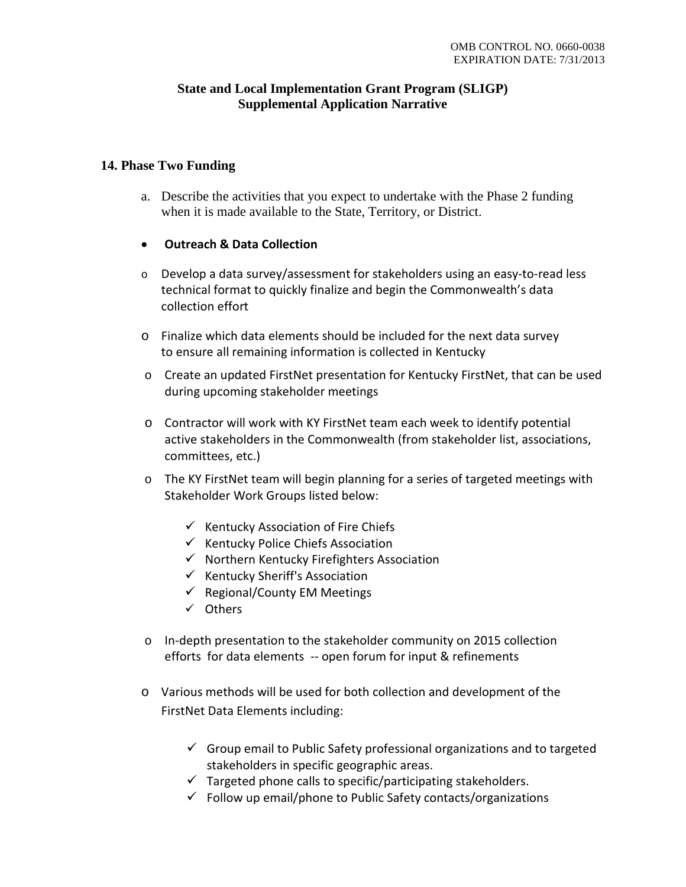## **State and Local Implementation Grant Program (SLIGP) Supplemental Application Narrative**

## **14. Phase Two Funding**

- a. Describe the activities that you expect to undertake with the Phase 2 funding when it is made available to the State, Territory, or District.
- **Outreach & Data Collection**
- $\circ$  Develop a data survey/assessment for stakeholders using an easy-to-read less technical format to quickly finalize and begin the Commonwealth's data collection effort
- o Finalize which data elements should be included for the next data survey to ensure all remaining information is collected in Kentucky
- o Create an updated FirstNet presentation for Kentucky FirstNet, that can be used during upcoming stakeholder meetings
- o Contractor will work with KY FirstNet team each week to identify potential active stakeholders in the Commonwealth (from stakeholder list, associations, committees, etc.)
- o The KY FirstNet team will begin planning for a series of targeted meetings with Stakeholder Work Groups listed below:
	- $\checkmark$  Kentucky Association of Fire Chiefs
	- $\checkmark$  Kentucky Police Chiefs Association
	- $\checkmark$  Northern Kentucky Firefighters Association
	- $\checkmark$  Kentucky Sheriff's Association
	- $\checkmark$  Regional/County EM Meetings
	- Others
- o In-depth presentation to the stakeholder community on 2015 collection efforts for data elements -- open forum for input & refinements
- o Various methods will be used for both collection and development of the FirstNet Data Elements including:
	- $\checkmark$  Group email to Public Safety professional organizations and to targeted stakeholders in specific geographic areas.
	- $\checkmark$  Targeted phone calls to specific/participating stakeholders.
	- $\checkmark$  Follow up email/phone to Public Safety contacts/organizations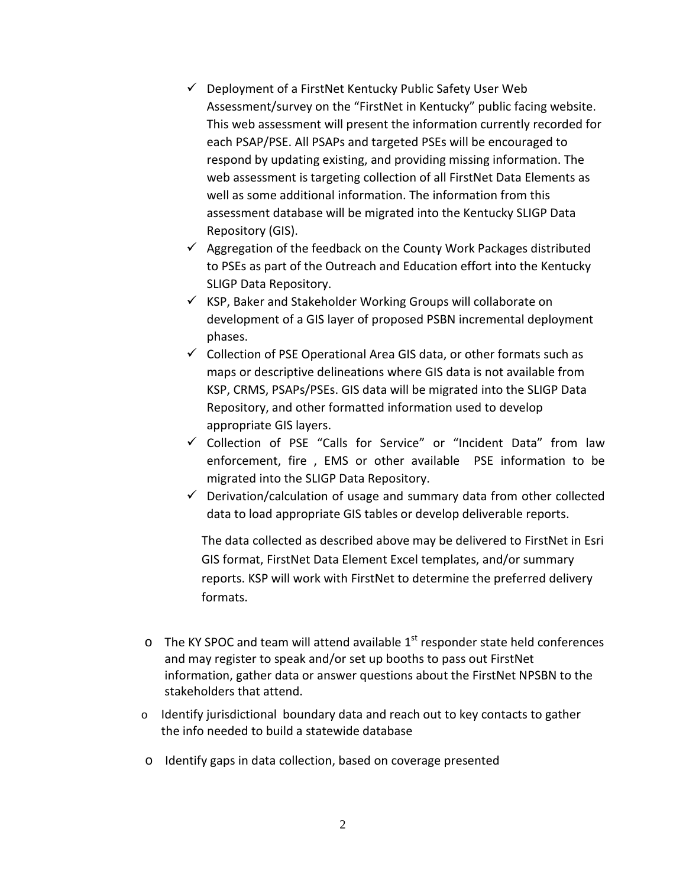- $\checkmark$  Deployment of a FirstNet Kentucky Public Safety User Web Assessment/survey on the "FirstNet in Kentucky" public facing website. This web assessment will present the information currently recorded for each PSAP/PSE. All PSAPs and targeted PSEs will be encouraged to respond by updating existing, and providing missing information. The web assessment is targeting collection of all FirstNet Data Elements as well as some additional information. The information from this assessment database will be migrated into the Kentucky SLIGP Data Repository (GIS).
- $\checkmark$  Aggregation of the feedback on the County Work Packages distributed to PSEs as part of the Outreach and Education effort into the Kentucky SLIGP Data Repository.
- $\checkmark$  KSP, Baker and Stakeholder Working Groups will collaborate on development of a GIS layer of proposed PSBN incremental deployment phases.
- $\checkmark$  Collection of PSE Operational Area GIS data, or other formats such as maps or descriptive delineations where GIS data is not available from KSP, CRMS, PSAPs/PSEs. GIS data will be migrated into the SLIGP Data Repository, and other formatted information used to develop appropriate GIS layers.
- Collection of PSE "Calls for Service" or "Incident Data" from law enforcement, fire , EMS or other available PSE information to be migrated into the SLIGP Data Repository.
- $\checkmark$  Derivation/calculation of usage and summary data from other collected data to load appropriate GIS tables or develop deliverable reports.

The data collected as described above may be delivered to FirstNet in Esri GIS format, FirstNet Data Element Excel templates, and/or summary reports. KSP will work with FirstNet to determine the preferred delivery formats.

- $\circ$  The KY SPOC and team will attend available 1<sup>st</sup> responder state held conferences and may register to speak and/or set up booths to pass out FirstNet information, gather data or answer questions about the FirstNet NPSBN to the stakeholders that attend.
- o Identify jurisdictional boundary data and reach out to key contacts to gather the info needed to build a statewide database
- o Identify gaps in data collection, based on coverage presented